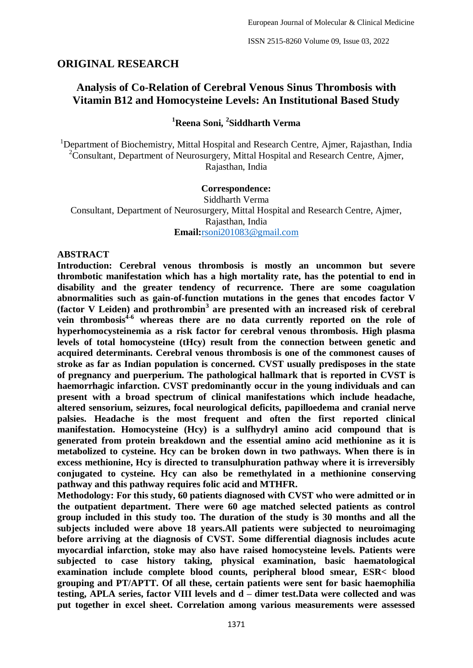#### **ORIGINAL RESEARCH**

# **Analysis of Co-Relation of Cerebral Venous Sinus Thrombosis with Vitamin B12 and Homocysteine Levels: An Institutional Based Study**

## **<sup>1</sup>Reena Soni, <sup>2</sup> Siddharth Verma**

<sup>1</sup>Department of Biochemistry, Mittal Hospital and Research Centre, Aimer, Rajasthan, India <sup>2</sup>Consultant, Department of Neurosurgery, Mittal Hospital and Research Centre, Ajmer, Rajasthan, India

#### **Correspondence:**

Siddharth Verma Consultant, Department of Neurosurgery, Mittal Hospital and Research Centre, Ajmer, Rajasthan, India **Email:**[rsoni201083@gmail.com](mailto:rsoni201083@gmail.com)

#### **ABSTRACT**

**Introduction: Cerebral venous thrombosis is mostly an uncommon but severe thrombotic manifestation which has a high mortality rate, has the potential to end in disability and the greater tendency of recurrence. There are some coagulation abnormalities such as gain-of-function mutations in the genes that encodes factor V (factor V Leiden) and prothrombin<sup>3</sup> are presented with an increased risk of cerebral vein thrombosis4-6 whereas there are no data currently reported on the role of hyperhomocysteinemia as a risk factor for cerebral venous thrombosis. High plasma levels of total homocysteine (tHcy) result from the connection between genetic and acquired determinants. Cerebral venous thrombosis is one of the commonest causes of stroke as far as Indian population is concerned. CVST usually predisposes in the state of pregnancy and puerperium. The pathological hallmark that is reported in CVST is haemorrhagic infarction. CVST predominantly occur in the young individuals and can present with a broad spectrum of clinical manifestations which include headache, altered sensorium, seizures, focal neurological deficits, papilloedema and cranial nerve palsies. Headache is the most frequent and often the first reported clinical manifestation. Homocysteine (Hcy) is a sulfhydryl amino acid compound that is generated from protein breakdown and the essential amino acid methionine as it is metabolized to cysteine. Hcy can be broken down in two pathways. When there is in excess methionine, Hcy is directed to transulphuration pathway where it is irreversibly conjugated to cysteine. Hcy can also be remethylated in a methionine conserving pathway and this pathway requires folic acid and MTHFR.** 

**Methodology: For this study, 60 patients diagnosed with CVST who were admitted or in the outpatient department. There were 60 age matched selected patients as control group included in this study too. The duration of the study is 30 months and all the subjects included were above 18 years.All patients were subjected to neuroimaging before arriving at the diagnosis of CVST. Some differential diagnosis includes acute myocardial infarction, stoke may also have raised homocysteine levels. Patients were subjected to case history taking, physical examination, basic haematological examination include complete blood counts, peripheral blood smear, ESR< blood grouping and PT/APTT. Of all these, certain patients were sent for basic haemophilia testing, APLA series, factor VIII levels and d – dimer test.Data were collected and was put together in excel sheet. Correlation among various measurements were assessed**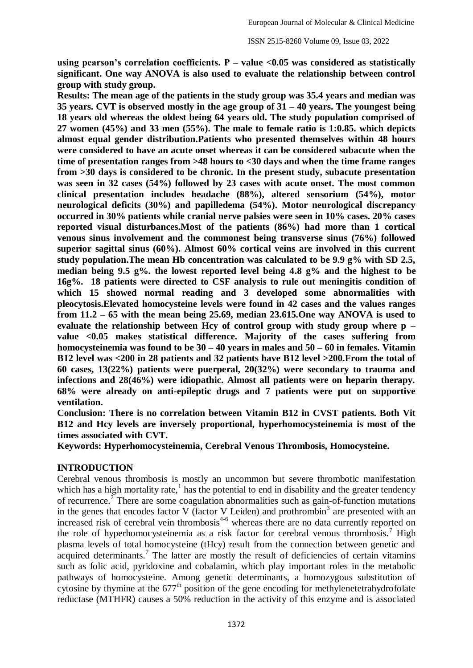**using pearson's correlation coefficients. P – value <0.05 was considered as statistically significant. One way ANOVA is also used to evaluate the relationship between control group with study group.** 

**Results: The mean age of the patients in the study group was 35.4 years and median was 35 years. CVT is observed mostly in the age group of 31 – 40 years. The youngest being 18 years old whereas the oldest being 64 years old. The study population comprised of 27 women (45%) and 33 men (55%). The male to female ratio is 1:0.85. which depicts almost equal gender distribution.Patients who presented themselves within 48 hours were considered to have an acute onset whereas it can be considered subacute when the time of presentation ranges from >48 hours to <30 days and when the time frame ranges from >30 days is considered to be chronic. In the present study, subacute presentation was seen in 32 cases (54%) followed by 23 cases with acute onset. The most common clinical presentation includes headache (88%), altered sensorium (54%), motor neurological deficits (30%) and papilledema (54%). Motor neurological discrepancy occurred in 30% patients while cranial nerve palsies were seen in 10% cases. 20% cases reported visual disturbances.Most of the patients (86%) had more than 1 cortical venous sinus involvement and the commonest being transverse sinus (76%) followed superior sagittal sinus (60%). Almost 60% cortical veins are involved in this current study population.The mean Hb concentration was calculated to be 9.9 g% with SD 2.5, median being 9.5 g%. the lowest reported level being 4.8 g% and the highest to be 16g%. 18 patients were directed to CSF analysis to rule out meningitis condition of which 15 showed normal reading and 3 developed some abnormalities with pleocytosis.Elevated homocysteine levels were found in 42 cases and the values ranges from 11.2 – 65 with the mean being 25.69, median 23.615.One way ANOVA is used to evaluate the relationship between Hcy of control group with study group where p – value <0.05 makes statistical difference. Majority of the cases suffering from homocysteinemia was found to be 30 – 40 years in males and 50 – 60 in females. Vitamin B12 level was <200 in 28 patients and 32 patients have B12 level >200.From the total of 60 cases, 13(22%) patients were puerperal, 20(32%) were secondary to trauma and infections and 28(46%) were idiopathic. Almost all patients were on heparin therapy. 68% were already on anti-epileptic drugs and 7 patients were put on supportive ventilation.** 

**Conclusion: There is no correlation between Vitamin B12 in CVST patients. Both Vit B12 and Hcy levels are inversely proportional, hyperhomocysteinemia is most of the times associated with CVT.**

**Keywords: Hyperhomocysteinemia, Cerebral Venous Thrombosis, Homocysteine.**

#### **INTRODUCTION**

Cerebral venous thrombosis is mostly an uncommon but severe thrombotic manifestation which has a high mortality rate, $<sup>1</sup>$  has the potential to end in disability and the greater tendency</sup> of recurrence.<sup> $2$ </sup> There are some coagulation abnormalities such as gain-of-function mutations in the genes that encodes factor V (factor V Leiden) and prothrombin<sup>3</sup> are presented with an increased risk of cerebral vein thrombosis<sup>4-6</sup> whereas there are no data currently reported on the role of hyperhomocysteinemia as a risk factor for cerebral venous thrombosis.<sup>7</sup> High plasma levels of total homocysteine (tHcy) result from the connection between genetic and acquired determinants.<sup>7</sup> The latter are mostly the result of deficiencies of certain vitamins such as folic acid, pyridoxine and cobalamin, which play important roles in the metabolic pathways of homocysteine. Among genetic determinants, a homozygous substitution of cytosine by thymine at the  $677<sup>th</sup>$  position of the gene encoding for methylenetetrahydrofolate reductase (MTHFR) causes a 50% reduction in the activity of this enzyme and is associated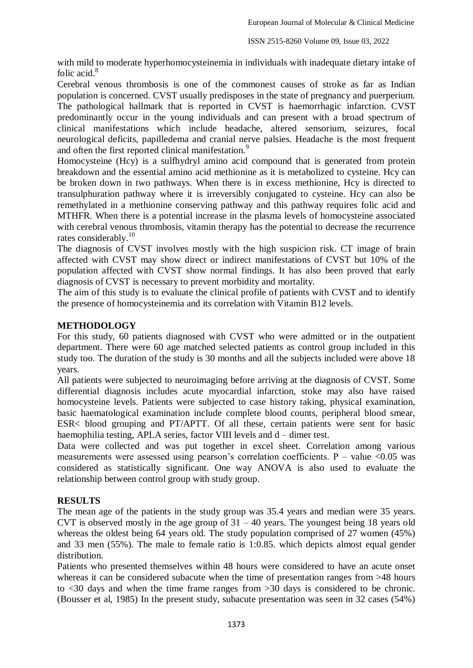with mild to moderate hyperhomocysteinemia in individuals with inadequate dietary intake of folic acid.<sup>8</sup>

Cerebral venous thrombosis is one of the commonest causes of stroke as far as Indian population is concerned. CVST usually predisposes in the state of pregnancy and puerperium. The pathological hallmark that is reported in CVST is haemorrhagic infarction. CVST predominantly occur in the young individuals and can present with a broad spectrum of clinical manifestations which include headache, altered sensorium, seizures, focal neurological deficits, papilledema and cranial nerve palsies. Headache is the most frequent and often the first reported clinical manifestation.<sup>9</sup>

Homocysteine (Hcy) is a sulfhydryl amino acid compound that is generated from protein breakdown and the essential amino acid methionine as it is metabolized to cysteine. Hcy can be broken down in two pathways. When there is in excess methionine, Hcy is directed to transulphuration pathway where it is irreversibly conjugated to cysteine. Hcy can also be remethylated in a methionine conserving pathway and this pathway requires folic acid and MTHFR. When there is a potential increase in the plasma levels of homocysteine associated with cerebral venous thrombosis, vitamin therapy has the potential to decrease the recurrence rates considerably.<sup>10</sup>

The diagnosis of CVST involves mostly with the high suspicion risk. CT image of brain affected with CVST may show direct or indirect manifestations of CVST but 10% of the population affected with CVST show normal findings. It has also been proved that early diagnosis of CVST is necessary to prevent morbidity and mortality.

The aim of this study is to evaluate the clinical profile of patients with CVST and to identify the presence of homocysteinemia and its correlation with Vitamin B12 levels.

### **METHODOLOGY**

For this study, 60 patients diagnosed with CVST who were admitted or in the outpatient department. There were 60 age matched selected patients as control group included in this study too. The duration of the study is 30 months and all the subjects included were above 18 years.

All patients were subjected to neuroimaging before arriving at the diagnosis of CVST. Some differential diagnosis includes acute myocardial infarction, stoke may also have raised homocysteine levels. Patients were subjected to case history taking, physical examination, basic haematological examination include complete blood counts, peripheral blood smear, ESR< blood grouping and PT/APTT. Of all these, certain patients were sent for basic haemophilia testing, APLA series, factor VIII levels and d – dimer test.

Data were collected and was put together in excel sheet. Correlation among various measurements were assessed using pearson's correlation coefficients. P – value <0.05 was considered as statistically significant. One way ANOVA is also used to evaluate the relationship between control group with study group.

### **RESULTS**

The mean age of the patients in the study group was 35.4 years and median were 35 years. CVT is observed mostly in the age group of  $31 - 40$  years. The youngest being 18 years old whereas the oldest being 64 years old. The study population comprised of 27 women (45%) and 33 men (55%). The male to female ratio is 1:0.85. which depicts almost equal gender distribution.

Patients who presented themselves within 48 hours were considered to have an acute onset whereas it can be considered subacute when the time of presentation ranges from  $>48$  hours to <30 days and when the time frame ranges from >30 days is considered to be chronic. (Bousser et al, 1985) In the present study, subacute presentation was seen in 32 cases (54%)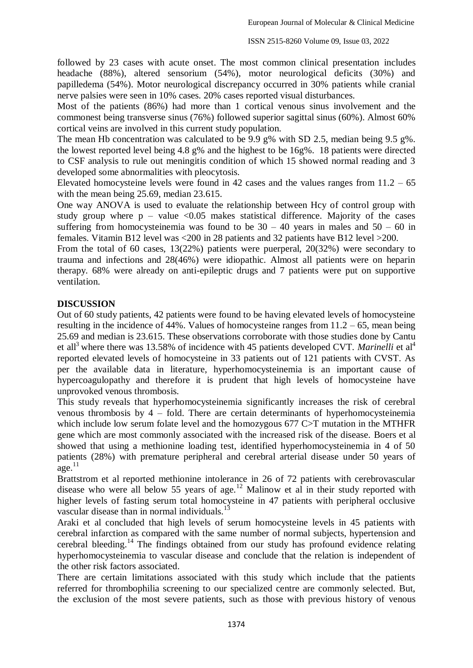followed by 23 cases with acute onset. The most common clinical presentation includes headache (88%), altered sensorium (54%), motor neurological deficits (30%) and papilledema (54%). Motor neurological discrepancy occurred in 30% patients while cranial nerve palsies were seen in 10% cases. 20% cases reported visual disturbances.

Most of the patients (86%) had more than 1 cortical venous sinus involvement and the commonest being transverse sinus (76%) followed superior sagittal sinus (60%). Almost 60% cortical veins are involved in this current study population.

The mean Hb concentration was calculated to be 9.9 g% with SD 2.5, median being 9.5 g%. the lowest reported level being 4.8 g% and the highest to be 16g%. 18 patients were directed to CSF analysis to rule out meningitis condition of which 15 showed normal reading and 3 developed some abnormalities with pleocytosis.

Elevated homocysteine levels were found in 42 cases and the values ranges from  $11.2 - 65$ with the mean being 25.69, median 23.615.

One way ANOVA is used to evaluate the relationship between Hcy of control group with study group where  $p -$  value <0.05 makes statistical difference. Majority of the cases suffering from homocysteinemia was found to be  $30 - 40$  years in males and  $50 - 60$  in females. Vitamin B12 level was <200 in 28 patients and 32 patients have B12 level >200.

From the total of 60 cases, 13(22%) patients were puerperal, 20(32%) were secondary to trauma and infections and 28(46%) were idiopathic. Almost all patients were on heparin therapy. 68% were already on anti-epileptic drugs and 7 patients were put on supportive ventilation.

## **DISCUSSION**

Out of 60 study patients, 42 patients were found to be having elevated levels of homocysteine resulting in the incidence of 44%. Values of homocysteine ranges from 11.2 – 65, mean being 25.69 and median is 23.615. These observations corroborate with those studies done by Cantu et all<sup>3</sup> where there was 13.58% of incidence with 45 patients developed CVT. *Marinelli* et al<sup>4</sup> reported elevated levels of homocysteine in 33 patients out of 121 patients with CVST. As per the available data in literature, hyperhomocysteinemia is an important cause of hypercoagulopathy and therefore it is prudent that high levels of homocysteine have unprovoked venous thrombosis.

This study reveals that hyperhomocysteinemia significantly increases the risk of cerebral venous thrombosis by 4 – fold. There are certain determinants of hyperhomocysteinemia which include low serum folate level and the homozygous 677 C>T mutation in the MTHFR gene which are most commonly associated with the increased risk of the disease. Boers et al showed that using a methionine loading test, identified hyperhomocysteinemia in 4 of 50 patients (28%) with premature peripheral and cerebral arterial disease under 50 years of  $\rm{age}$ <sup>11</sup>

Brattstrom et al reported methionine intolerance in 26 of 72 patients with cerebrovascular disease who were all below 55 years of age.<sup>12</sup> Malinow et al in their study reported with higher levels of fasting serum total homocysteine in 47 patients with peripheral occlusive vascular disease than in normal individuals.<sup>13</sup>

Araki et al concluded that high levels of serum homocysteine levels in 45 patients with cerebral infarction as compared with the same number of normal subjects, hypertension and cerebral bleeding.<sup>14</sup> The findings obtained from our study has profound evidence relating hyperhomocysteinemia to vascular disease and conclude that the relation is independent of the other risk factors associated.

There are certain limitations associated with this study which include that the patients referred for thrombophilia screening to our specialized centre are commonly selected. But, the exclusion of the most severe patients, such as those with previous history of venous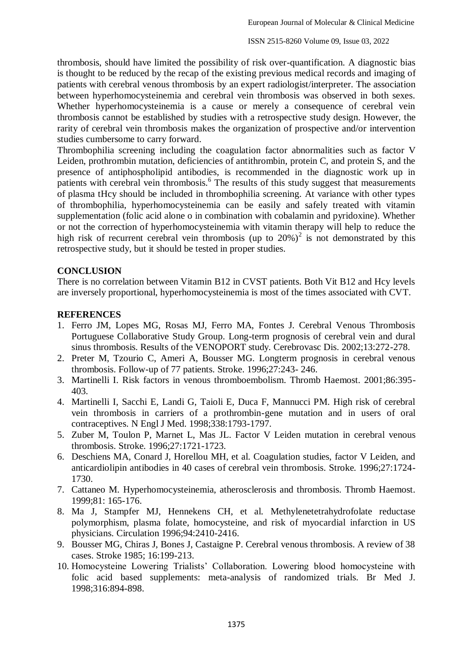thrombosis, should have limited the possibility of risk over-quantification. A diagnostic bias is thought to be reduced by the recap of the existing previous medical records and imaging of patients with cerebral venous thrombosis by an expert radiologist/interpreter. The association between hyperhomocysteinemia and cerebral vein thrombosis was observed in both sexes. Whether hyperhomocysteinemia is a cause or merely a consequence of cerebral vein thrombosis cannot be established by studies with a retrospective study design. However, the rarity of cerebral vein thrombosis makes the organization of prospective and/or intervention studies cumbersome to carry forward.

Thrombophilia screening including the coagulation factor abnormalities such as factor V Leiden, prothrombin mutation, deficiencies of antithrombin, protein C, and protein S, and the presence of antiphospholipid antibodies, is recommended in the diagnostic work up in patients with cerebral vein thrombosis.<sup>6</sup> The results of this study suggest that measurements of plasma tHcy should be included in thrombophilia screening. At variance with other types of thrombophilia, hyperhomocysteinemia can be easily and safely treated with vitamin supplementation (folic acid alone o in combination with cobalamin and pyridoxine). Whether or not the correction of hyperhomocysteinemia with vitamin therapy will help to reduce the high risk of recurrent cerebral vein thrombosis (up to  $20\%$ )<sup>2</sup> is not demonstrated by this retrospective study, but it should be tested in proper studies.

### **CONCLUSION**

There is no correlation between Vitamin B12 in CVST patients. Both Vit B12 and Hcy levels are inversely proportional, hyperhomocysteinemia is most of the times associated with CVT.

### **REFERENCES**

- 1. Ferro JM, Lopes MG, Rosas MJ, Ferro MA, Fontes J. Cerebral Venous Thrombosis Portuguese Collaborative Study Group. Long-term prognosis of cerebral vein and dural sinus thrombosis. Results of the VENOPORT study. Cerebrovasc Dis. 2002;13:272-278.
- 2. Preter M, Tzourio C, Ameri A, Bousser MG. Longterm prognosis in cerebral venous thrombosis. Follow-up of 77 patients. Stroke. 1996;27:243- 246.
- 3. Martinelli I. Risk factors in venous thromboembolism. Thromb Haemost. 2001;86:395- 403.
- 4. Martinelli I, Sacchi E, Landi G, Taioli E, Duca F, Mannucci PM. High risk of cerebral vein thrombosis in carriers of a prothrombin-gene mutation and in users of oral contraceptives. N Engl J Med. 1998;338:1793-1797.
- 5. Zuber M, Toulon P, Marnet L, Mas JL. Factor V Leiden mutation in cerebral venous thrombosis. Stroke. 1996;27:1721-1723.
- 6. Deschiens MA, Conard J, Horellou MH, et al. Coagulation studies, factor V Leiden, and anticardiolipin antibodies in 40 cases of cerebral vein thrombosis. Stroke. 1996;27:1724- 1730.
- 7. Cattaneo M. Hyperhomocysteinemia, atherosclerosis and thrombosis. Thromb Haemost. 1999;81: 165-176.
- 8. Ma J, Stampfer MJ, Hennekens CH, et al. Methylenetetrahydrofolate reductase polymorphism, plasma folate, homocysteine, and risk of myocardial infarction in US physicians. Circulation 1996;94:2410-2416.
- 9. Bousser MG, Chiras J, Bones J, Castaigne P. Cerebral venous thrombosis. A review of 38 cases. Stroke 1985; 16:199-213.
- 10. Homocysteine Lowering Trialists' Collaboration. Lowering blood homocysteine with folic acid based supplements: meta-analysis of randomized trials. Br Med J. 1998;316:894-898.